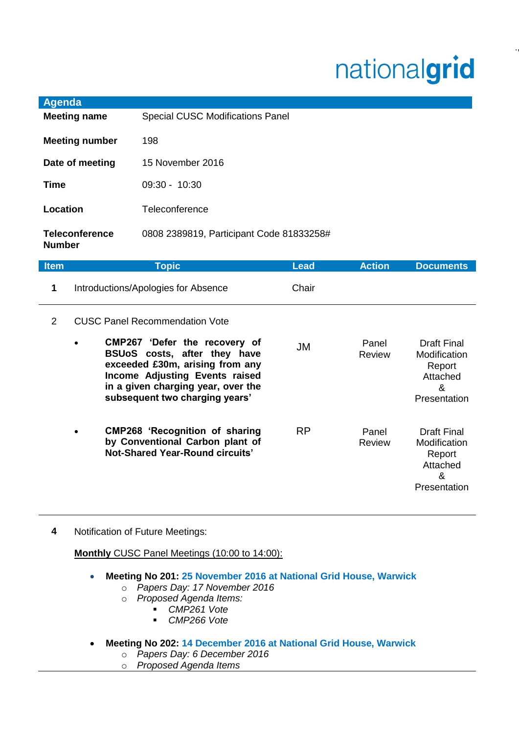## nationalgrid

.,.

| <b>Agenda</b>                          |                                          |
|----------------------------------------|------------------------------------------|
| <b>Meeting name</b>                    | <b>Special CUSC Modifications Panel</b>  |
| <b>Meeting number</b>                  | 198                                      |
| Date of meeting                        | 15 November 2016                         |
| Time                                   | $09:30 - 10:30$                          |
| Location                               | Teleconference                           |
| <b>Teleconference</b><br><b>Number</b> | 0808 2389819, Participant Code 81833258# |

| <b>Item</b> | <b>Topic</b>                                                                                                                                                                                               | <b>Lead</b> | <b>Action</b>          | <b>Documents</b>                                                              |
|-------------|------------------------------------------------------------------------------------------------------------------------------------------------------------------------------------------------------------|-------------|------------------------|-------------------------------------------------------------------------------|
| 1           | Introductions/Apologies for Absence                                                                                                                                                                        | Chair       |                        |                                                                               |
| 2           | <b>CUSC Panel Recommendation Vote</b>                                                                                                                                                                      |             |                        |                                                                               |
|             | CMP267 'Defer the recovery of<br>BSUoS costs, after they have<br>exceeded £30m, arising from any<br>Income Adjusting Events raised<br>in a given charging year, over the<br>subsequent two charging years' | JM          | Panel<br><b>Review</b> | <b>Draft Final</b><br>Modification<br>Report<br>Attached<br>&<br>Presentation |
|             | <b>CMP268 'Recognition of sharing</b><br>by Conventional Carbon plant of<br>Not-Shared Year-Round circuits'                                                                                                | <b>RP</b>   | Panel<br><b>Review</b> | <b>Draft Final</b><br>Modification<br>Report<br>Attached<br>&<br>Presentation |

**4** Notification of Future Meetings:

**Monthly** CUSC Panel Meetings (10:00 to 14:00):

- **Meeting No 201: 25 November 2016 at National Grid House, Warwick**
	- o *Papers Day: 17 November 2016*
	- o *Proposed Agenda Items:*
		- *CMP261 Vote*
		- *CMP266 Vote*
- **Meeting No 202: 14 December 2016 at National Grid House, Warwick**
	- o *Papers Day: 6 December 2016*
	- o *Proposed Agenda Items*